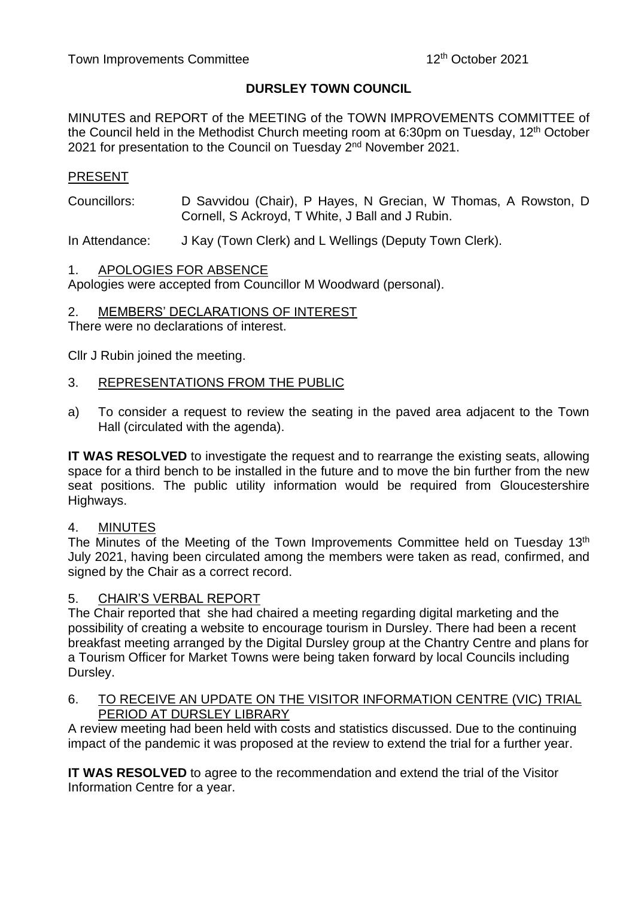# **DURSLEY TOWN COUNCIL**

MINUTES and REPORT of the MEETING of the TOWN IMPROVEMENTS COMMITTEE of the Council held in the Methodist Church meeting room at 6:30pm on Tuesday, 12<sup>th</sup> October 2021 for presentation to the Council on Tuesday 2<sup>nd</sup> November 2021.

# PRESENT

Councillors: D Savvidou (Chair), P Hayes, N Grecian, W Thomas, A Rowston, D Cornell, S Ackroyd, T White, J Ball and J Rubin.

In Attendance: J Kay (Town Clerk) and L Wellings (Deputy Town Clerk).

#### 1. APOLOGIES FOR ABSENCE

Apologies were accepted from Councillor M Woodward (personal).

#### 2. MEMBERS' DECLARATIONS OF INTEREST

There were no declarations of interest.

Cllr J Rubin joined the meeting.

# 3. REPRESENTATIONS FROM THE PUBLIC

a) To consider a request to review the seating in the paved area adjacent to the Town Hall (circulated with the agenda).

**IT WAS RESOLVED** to investigate the request and to rearrange the existing seats, allowing space for a third bench to be installed in the future and to move the bin further from the new seat positions. The public utility information would be required from Gloucestershire Highways.

#### 4. MINUTES

The Minutes of the Meeting of the Town Improvements Committee held on Tuesday 13<sup>th</sup> July 2021, having been circulated among the members were taken as read, confirmed, and signed by the Chair as a correct record.

#### 5. CHAIR'S VERBAL REPORT

The Chair reported that she had chaired a meeting regarding digital marketing and the possibility of creating a website to encourage tourism in Dursley. There had been a recent breakfast meeting arranged by the Digital Dursley group at the Chantry Centre and plans for a Tourism Officer for Market Towns were being taken forward by local Councils including Dursley.

#### 6. TO RECEIVE AN UPDATE ON THE VISITOR INFORMATION CENTRE (VIC) TRIAL PERIOD AT DURSLEY LIBRARY

A review meeting had been held with costs and statistics discussed. Due to the continuing impact of the pandemic it was proposed at the review to extend the trial for a further year.

**IT WAS RESOLVED** to agree to the recommendation and extend the trial of the Visitor Information Centre for a year.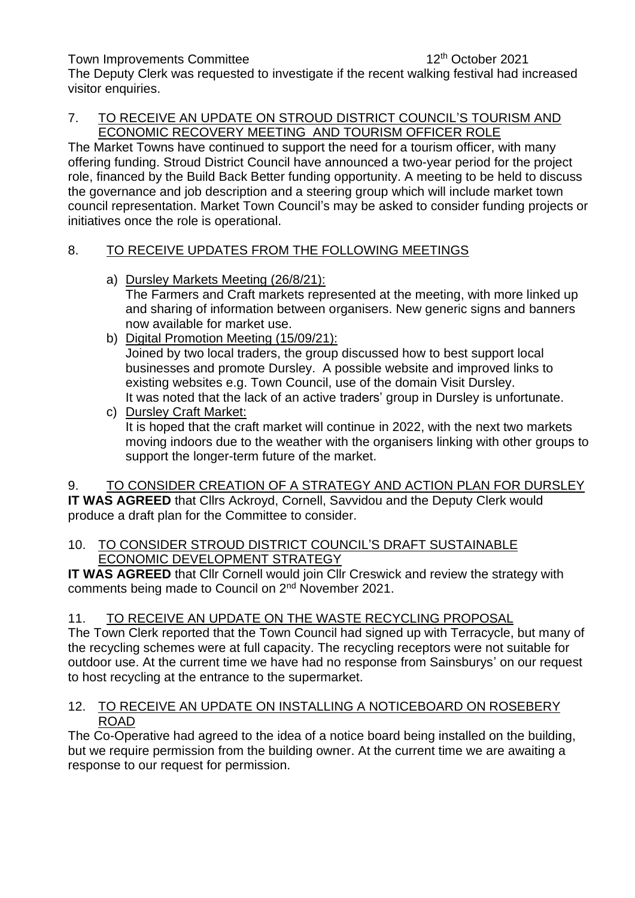Town Improvements Committee

12<sup>th</sup> October 2021

The Deputy Clerk was requested to investigate if the recent walking festival had increased visitor enquiries.

# 7. TO RECEIVE AN UPDATE ON STROUD DISTRICT COUNCIL'S TOURISM AND ECONOMIC RECOVERY MEETING AND TOURISM OFFICER ROLE

The Market Towns have continued to support the need for a tourism officer, with many offering funding. Stroud District Council have announced a two-year period for the project role, financed by the Build Back Better funding opportunity. A meeting to be held to discuss the governance and job description and a steering group which will include market town council representation. Market Town Council's may be asked to consider funding projects or initiatives once the role is operational.

# 8. TO RECEIVE UPDATES FROM THE FOLLOWING MEETINGS

- a) Dursley Markets Meeting (26/8/21): The Farmers and Craft markets represented at the meeting, with more linked up and sharing of information between organisers. New generic signs and banners now available for market use.
- b) Digital Promotion Meeting (15/09/21): Joined by two local traders, the group discussed how to best support local businesses and promote Dursley. A possible website and improved links to existing websites e.g. Town Council, use of the domain Visit Dursley. It was noted that the lack of an active traders' group in Dursley is unfortunate.

c) Dursley Craft Market: It is hoped that the craft market will continue in 2022, with the next two markets moving indoors due to the weather with the organisers linking with other groups to support the longer-term future of the market.

9. TO CONSIDER CREATION OF A STRATEGY AND ACTION PLAN FOR DURSLEY **IT WAS AGREED** that Cllrs Ackroyd, Cornell, Savvidou and the Deputy Clerk would produce a draft plan for the Committee to consider.

# 10. TO CONSIDER STROUD DISTRICT COUNCIL'S DRAFT SUSTAINABLE ECONOMIC DEVELOPMENT STRATEGY

**IT WAS AGREED** that Cllr Cornell would join Cllr Creswick and review the strategy with comments being made to Council on 2nd November 2021.

# 11. TO RECEIVE AN UPDATE ON THE WASTE RECYCLING PROPOSAL

The Town Clerk reported that the Town Council had signed up with Terracycle, but many of the recycling schemes were at full capacity. The recycling receptors were not suitable for outdoor use. At the current time we have had no response from Sainsburys' on our request to host recycling at the entrance to the supermarket.

# 12. TO RECEIVE AN UPDATE ON INSTALLING A NOTICEBOARD ON ROSEBERY ROAD

The Co-Operative had agreed to the idea of a notice board being installed on the building, but we require permission from the building owner. At the current time we are awaiting a response to our request for permission.